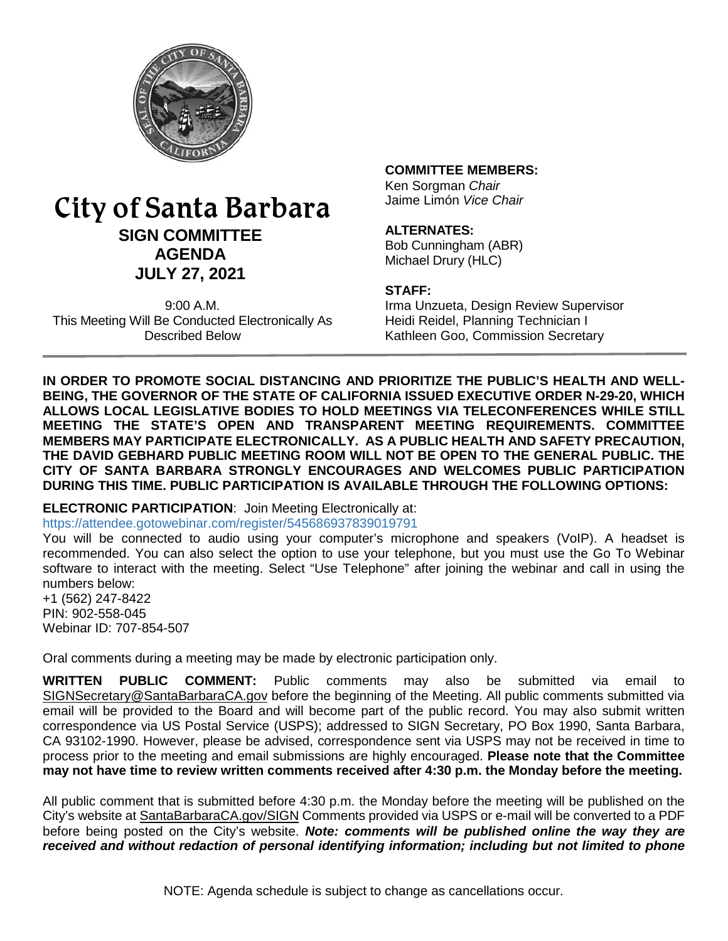

# City of Santa Barbara **SIGN COMMITTEE AGENDA JULY 27, 2021**

9:00 A.M. This Meeting Will Be Conducted Electronically As Described Below

## **COMMITTEE MEMBERS:**

Ken Sorgman *Chair* Jaime Limón *Vice Chair*

#### **ALTERNATES:**

Bob Cunningham (ABR) Michael Drury (HLC)

#### **STAFF:**

Irma Unzueta, Design Review Supervisor Heidi Reidel, Planning Technician I Kathleen Goo, Commission Secretary

**IN ORDER TO PROMOTE SOCIAL DISTANCING AND PRIORITIZE THE PUBLIC'S HEALTH AND WELL-BEING, THE GOVERNOR OF THE STATE OF CALIFORNIA ISSUED EXECUTIVE ORDER N-29-20, WHICH ALLOWS LOCAL LEGISLATIVE BODIES TO HOLD MEETINGS VIA TELECONFERENCES WHILE STILL MEETING THE STATE'S OPEN AND TRANSPARENT MEETING REQUIREMENTS. COMMITTEE MEMBERS MAY PARTICIPATE ELECTRONICALLY. AS A PUBLIC HEALTH AND SAFETY PRECAUTION, THE DAVID GEBHARD PUBLIC MEETING ROOM WILL NOT BE OPEN TO THE GENERAL PUBLIC. THE CITY OF SANTA BARBARA STRONGLY ENCOURAGES AND WELCOMES PUBLIC PARTICIPATION DURING THIS TIME. PUBLIC PARTICIPATION IS AVAILABLE THROUGH THE FOLLOWING OPTIONS:**

# **ELECTRONIC PARTICIPATION**: Join Meeting Electronically at:

https://attendee.gotowebinar.com/register/545686937839019791

You will be connected to audio using your computer's microphone and speakers (VoIP). A headset is recommended. You can also select the option to use your telephone, but you must use the Go To Webinar software to interact with the meeting. Select "Use Telephone" after joining the webinar and call in using the numbers below:

+1 (562) 247-8422 PIN: 902-558-045 Webinar ID: 707-854-507

Oral comments during a meeting may be made by electronic participation only.

**WRITTEN PUBLIC COMMENT:** Public comments may also be submitted via email to [SIGNSecretary@SantaBarbaraCA.gov](mailto:SIGNSecretary@SantaBarbaraCA.gov) before the beginning of the Meeting. All public comments submitted via email will be provided to the Board and will become part of the public record. You may also submit written correspondence via US Postal Service (USPS); addressed to SIGN Secretary, PO Box 1990, Santa Barbara, CA 93102-1990. However, please be advised, correspondence sent via USPS may not be received in time to process prior to the meeting and email submissions are highly encouraged. **Please note that the Committee may not have time to review written comments received after 4:30 p.m. the Monday before the meeting.**

All public comment that is submitted before 4:30 p.m. the Monday before the meeting will be published on the City's website at [SantaBarbaraCA.gov/SIGN](http://www.santabarbaraca.gov/SIGN) Comments provided via USPS or e-mail will be converted to a PDF before being posted on the City's website. *Note: comments will be published online the way they are received and without redaction of personal identifying information; including but not limited to phone*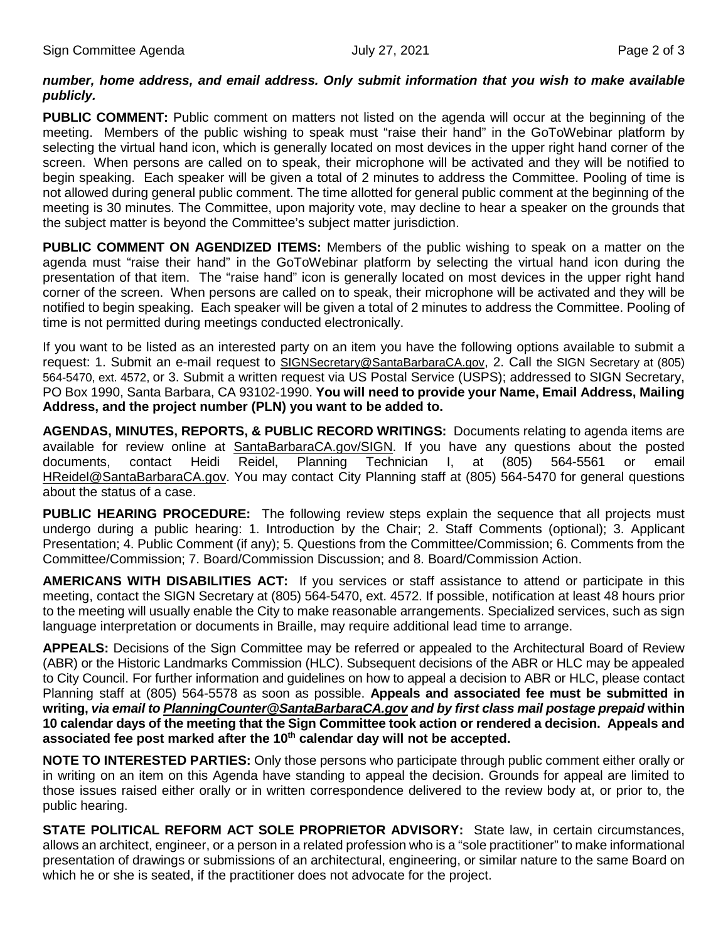## *number, home address, and email address. Only submit information that you wish to make available publicly.*

**PUBLIC COMMENT:** Public comment on matters not listed on the agenda will occur at the beginning of the meeting. Members of the public wishing to speak must "raise their hand" in the GoToWebinar platform by selecting the virtual hand icon, which is generally located on most devices in the upper right hand corner of the screen. When persons are called on to speak, their microphone will be activated and they will be notified to begin speaking. Each speaker will be given a total of 2 minutes to address the Committee. Pooling of time is not allowed during general public comment. The time allotted for general public comment at the beginning of the meeting is 30 minutes. The Committee, upon majority vote, may decline to hear a speaker on the grounds that the subject matter is beyond the Committee's subject matter jurisdiction.

**PUBLIC COMMENT ON AGENDIZED ITEMS:** Members of the public wishing to speak on a matter on the agenda must "raise their hand" in the GoToWebinar platform by selecting the virtual hand icon during the presentation of that item. The "raise hand" icon is generally located on most devices in the upper right hand corner of the screen. When persons are called on to speak, their microphone will be activated and they will be notified to begin speaking. Each speaker will be given a total of 2 minutes to address the Committee. Pooling of time is not permitted during meetings conducted electronically.

If you want to be listed as an interested party on an item you have the following options available to submit a request: 1. Submit an e-mail request to [SIGNSecretary@SantaBarbaraCA.gov,](mailto:SIGNSecretary@SantaBarbaraCA.gov) 2. Call the SIGN Secretary at (805) 564-5470, ext. 4572, or 3. Submit a written request via US Postal Service (USPS); addressed to SIGN Secretary, PO Box 1990, Santa Barbara, CA 93102-1990. **You will need to provide your Name, Email Address, Mailing Address, and the project number (PLN) you want to be added to.**

**AGENDAS, MINUTES, REPORTS, & PUBLIC RECORD WRITINGS:** Documents relating to agenda items are available for review online at [SantaBarbaraCA.gov/SIGN.](http://www.santabarbaraca.gov/SIGN) If you have any questions about the posted documents, contact Heidi Reidel, Planning Technician I, at (805) 564-5561 or email [HReidel@SantaBarbaraCA.gov.](mailto:HReidel@SantaBarbaraCA.gov) You may contact City Planning staff at (805) 564-5470 for general questions about the status of a case.

**PUBLIC HEARING PROCEDURE:** The following review steps explain the sequence that all projects must undergo during a public hearing: 1. Introduction by the Chair; 2. Staff Comments (optional); 3. Applicant Presentation; 4. Public Comment (if any); 5. Questions from the Committee/Commission; 6. Comments from the Committee/Commission; 7. Board/Commission Discussion; and 8. Board/Commission Action.

**AMERICANS WITH DISABILITIES ACT:** If you services or staff assistance to attend or participate in this meeting, contact the SIGN Secretary at (805) 564-5470, ext. 4572. If possible, notification at least 48 hours prior to the meeting will usually enable the City to make reasonable arrangements. Specialized services, such as sign language interpretation or documents in Braille, may require additional lead time to arrange.

**APPEALS:** Decisions of the Sign Committee may be referred or appealed to the Architectural Board of Review (ABR) or the Historic Landmarks Commission (HLC). Subsequent decisions of the ABR or HLC may be appealed to City Council. For further information and guidelines on how to appeal a decision to ABR or HLC, please contact Planning staff at (805) 564-5578 as soon as possible. **Appeals and associated fee must be submitted in writing,** *via email to [PlanningCounter@SantaBarbaraCA.gov](mailto:PlanningCounter@SantaBarbaraCA.gov) and by first class mail postage prepaid* **within 10 calendar days of the meeting that the Sign Committee took action or rendered a decision. Appeals and**  associated fee post marked after the 10<sup>th</sup> calendar day will not be accepted.

**NOTE TO INTERESTED PARTIES:** Only those persons who participate through public comment either orally or in writing on an item on this Agenda have standing to appeal the decision. Grounds for appeal are limited to those issues raised either orally or in written correspondence delivered to the review body at, or prior to, the public hearing.

**STATE POLITICAL REFORM ACT SOLE PROPRIETOR ADVISORY:** State law, in certain circumstances, allows an architect, engineer, or a person in a related profession who is a "sole practitioner" to make informational presentation of drawings or submissions of an architectural, engineering, or similar nature to the same Board on which he or she is seated, if the practitioner does not advocate for the project.